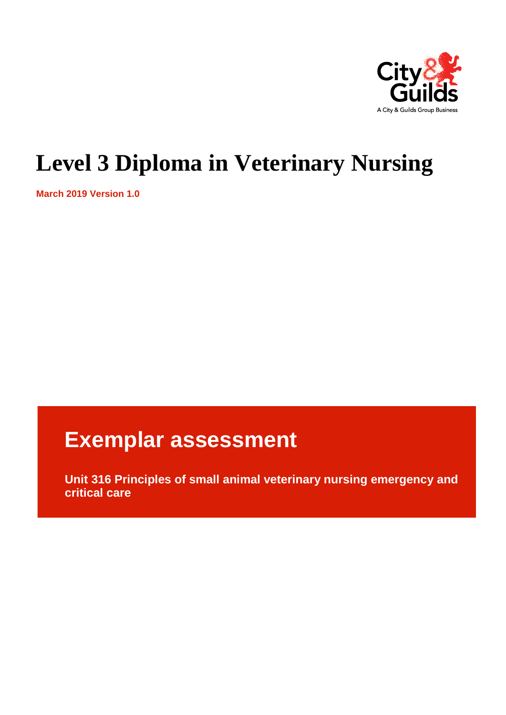

# **Level 3 Diploma in Veterinary Nursing**

**March 2019 Version 1.0**

# **Exemplar assessment**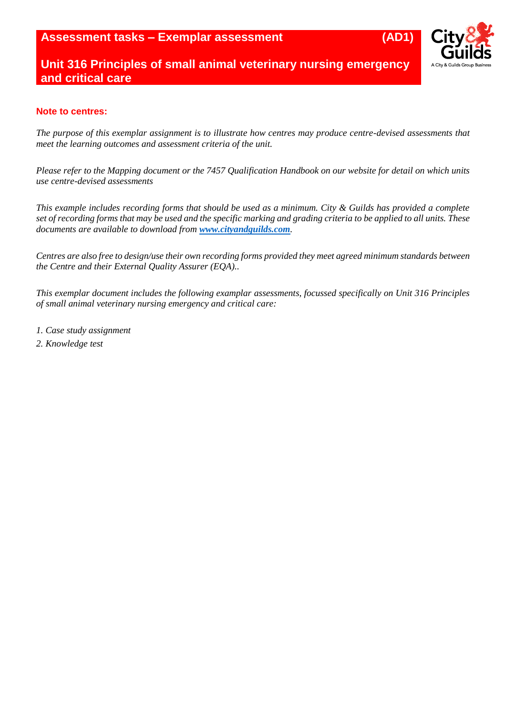

## **Note to centres:**

*The purpose of this exemplar assignment is to illustrate how centres may produce centre-devised assessments that meet the learning outcomes and assessment criteria of the unit.* 

*Please refer to the Mapping document or the 7457 Qualification Handbook on our website for detail on which units use centre-devised assessments*

*This example includes recording forms that should be used as a minimum. City & Guilds has provided a complete set of recording forms that may be used and the specific marking and grading criteria to be applied to all units. These documents are available to download from [www.cityandguilds.com](http://www.cityandguilds.com/).* 

*Centres are also free to design/use their own recording forms provided they meet agreed minimum standards between the Centre and their External Quality Assurer (EQA)..*

*This exemplar document includes the following examplar assessments, focussed specifically on Unit 316 Principles of small animal veterinary nursing emergency and critical care:*

- *1. Case study assignment*
- *2. Knowledge test*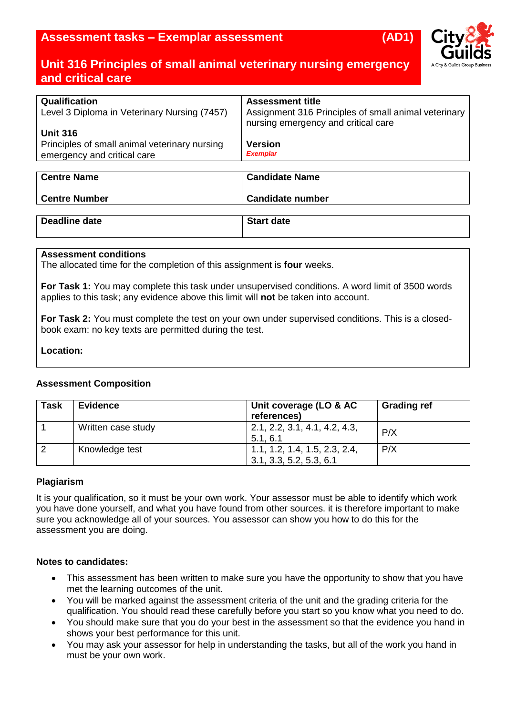

| Qualification                                 | <b>Assessment title</b>                                                                     |
|-----------------------------------------------|---------------------------------------------------------------------------------------------|
| Level 3 Diploma in Veterinary Nursing (7457)  | Assignment 316 Principles of small animal veterinary<br>nursing emergency and critical care |
| <b>Unit 316</b>                               |                                                                                             |
| Principles of small animal veterinary nursing | <b>Version</b>                                                                              |
| emergency and critical care                   | <b>Exemplar</b>                                                                             |
|                                               |                                                                                             |

| <b>Centre Name</b>   | <b>Candidate Name</b>   |
|----------------------|-------------------------|
| <b>Centre Number</b> | <b>Candidate number</b> |
|                      |                         |

## **Deadline date Start date**

## **Assessment conditions**

The allocated time for the completion of this assignment is **four** weeks.

**For Task 1:** You may complete this task under unsupervised conditions. A word limit of 3500 words applies to this task; any evidence above this limit will **not** be taken into account.

**For Task 2:** You must complete the test on your own under supervised conditions. This is a closedbook exam: no key texts are permitted during the test.

### **Location:**

### **Assessment Composition**

| <b>Task</b> | <b>Evidence</b>    | Unit coverage (LO & AC<br>references)                    | <b>Grading ref</b> |
|-------------|--------------------|----------------------------------------------------------|--------------------|
|             | Written case study | 2.1, 2.2, 3.1, 4.1, 4.2, 4.3,<br>5.1, 6.1                | P/X                |
|             | Knowledge test     | 1.1, 1.2, 1.4, 1.5, 2.3, 2.4,<br>3.1, 3.3, 5.2, 5.3, 6.1 | P/X                |

### **Plagiarism**

It is your qualification, so it must be your own work. Your assessor must be able to identify which work you have done yourself, and what you have found from other sources. it is therefore important to make sure you acknowledge all of your sources. You assessor can show you how to do this for the assessment you are doing.

### **Notes to candidates:**

- This assessment has been written to make sure you have the opportunity to show that you have met the learning outcomes of the unit.
- You will be marked against the assessment criteria of the unit and the grading criteria for the qualification. You should read these carefully before you start so you know what you need to do.
- You should make sure that you do your best in the assessment so that the evidence you hand in shows your best performance for this unit.
- You may ask your assessor for help in understanding the tasks, but all of the work you hand in must be your own work.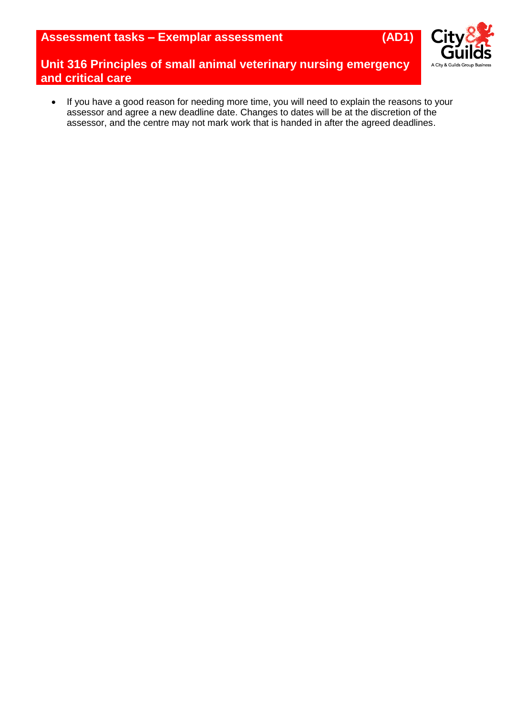**Assessment tasks – Exemplar assessment (AD1)**



**Unit 316 Principles of small animal veterinary nursing emergency and critical care**

 If you have a good reason for needing more time, you will need to explain the reasons to your assessor and agree a new deadline date. Changes to dates will be at the discretion of the assessor, and the centre may not mark work that is handed in after the agreed deadlines.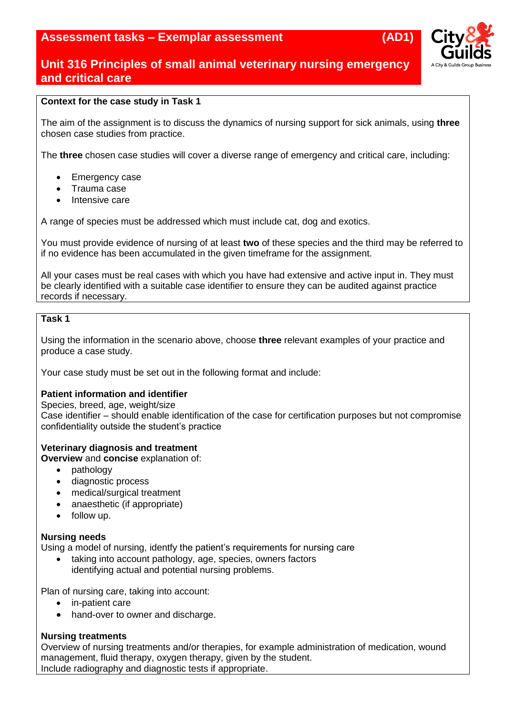## **Assessment tasks – Exemplar assessment (AD1)**



## **Unit 316 Principles of small animal veterinary nursing emergency and critical care**

## **Context for the case study in Task 1**

The aim of the assignment is to discuss the dynamics of nursing support for sick animals, using **three** chosen case studies from practice.

The **three** chosen case studies will cover a diverse range of emergency and critical care, including:

- Emergency case
- Trauma case
- Intensive care

A range of species must be addressed which must include cat, dog and exotics.

You must provide evidence of nursing of at least **two** of these species and the third may be referred to if no evidence has been accumulated in the given timeframe for the assignment.

All your cases must be real cases with which you have had extensive and active input in. They must be clearly identified with a suitable case identifier to ensure they can be audited against practice records if necessary.

## **Task 1**

Using the information in the scenario above, choose **three** relevant examples of your practice and produce a case study.

Your case study must be set out in the following format and include:

### **Patient information and identifier**

Species, breed, age, weight/size

Case identifier – should enable identification of the case for certification purposes but not compromise confidentiality outside the student's practice

### **Veterinary diagnosis and treatment**

**Overview** and **concise** explanation of:

- pathology
- diagnostic process
- medical/surgical treatment
- anaesthetic (if appropriate)
- follow up.

### **Nursing needs**

Using a model of nursing, identfy the patient's requirements for nursing care

 taking into account pathology, age, species, owners factors identifying actual and potential nursing problems.

Plan of nursing care, taking into account:

- in-patient care
- hand-over to owner and discharge.

#### **Nursing treatments**

Overview of nursing treatments and/or therapies, for example administration of medication, wound management, fluid therapy, oxygen therapy, given by the student. Include radiography and diagnostic tests if appropriate.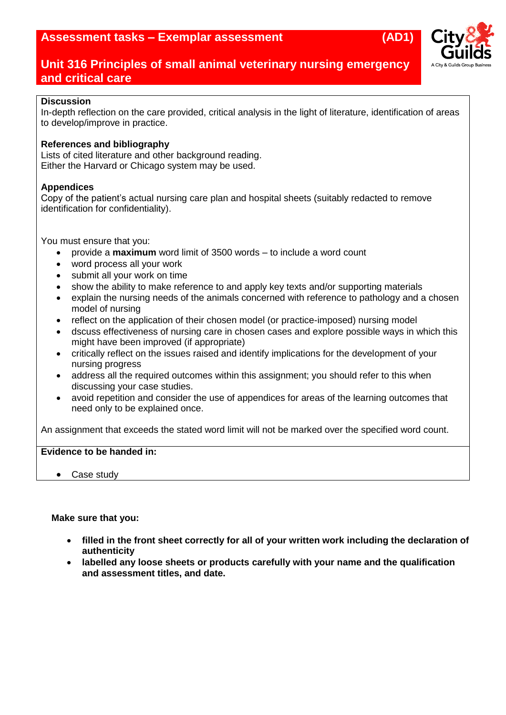

## **Discussion**

In-depth reflection on the care provided, critical analysis in the light of literature, identification of areas to develop/improve in practice.

## **References and bibliography**

Lists of cited literature and other background reading. Either the Harvard or Chicago system may be used.

## **Appendices**

Copy of the patient's actual nursing care plan and hospital sheets (suitably redacted to remove identification for confidentiality).

You must ensure that you:

- provide a **maximum** word limit of 3500 words to include a word count
- word process all your work
- submit all your work on time
- show the ability to make reference to and apply key texts and/or supporting materials
- explain the nursing needs of the animals concerned with reference to pathology and a chosen model of nursing
- reflect on the application of their chosen model (or practice-imposed) nursing model
- dscuss effectiveness of nursing care in chosen cases and explore possible ways in which this might have been improved (if appropriate)
- critically reflect on the issues raised and identify implications for the development of your nursing progress
- address all the required outcomes within this assignment; you should refer to this when discussing your case studies.
- avoid repetition and consider the use of appendices for areas of the learning outcomes that need only to be explained once.

An assignment that exceeds the stated word limit will not be marked over the specified word count.

## **Evidence to be handed in:**

• Case study

### **Make sure that you:**

- **filled in the front sheet correctly for all of your written work including the declaration of authenticity**
- **labelled any loose sheets or products carefully with your name and the qualification and assessment titles, and date.**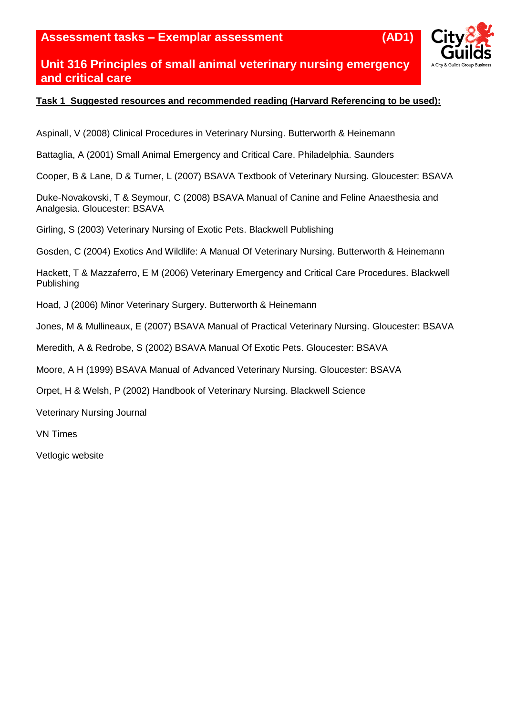**Assessment tasks – Exemplar assessment (AD1)**

## **Unit 316 Principles of small animal veterinary nursing emergency and critical care**

## **Task 1 Suggested resources and recommended reading (Harvard Referencing to be used):**

Aspinall, V (2008) Clinical Procedures in Veterinary Nursing. Butterworth & Heinemann

Battaglia, A (2001) Small Animal Emergency and Critical Care. Philadelphia. Saunders

Cooper, B & Lane, D & Turner, L (2007) BSAVA Textbook of Veterinary Nursing. Gloucester: BSAVA

Duke-Novakovski, T & Seymour, C (2008) BSAVA Manual of Canine and Feline Anaesthesia and Analgesia. Gloucester: BSAVA

Girling, S (2003) Veterinary Nursing of Exotic Pets. Blackwell Publishing

Gosden, C (2004) Exotics And Wildlife: A Manual Of Veterinary Nursing. Butterworth & Heinemann

Hackett, T & Mazzaferro, E M (2006) Veterinary Emergency and Critical Care Procedures. Blackwell Publishing

Hoad, J (2006) Minor Veterinary Surgery. Butterworth & Heinemann

Jones, M & Mullineaux, E (2007) BSAVA Manual of Practical Veterinary Nursing. Gloucester: BSAVA

Meredith, A & Redrobe, S (2002) BSAVA Manual Of Exotic Pets. Gloucester: BSAVA

Moore, A H (1999) BSAVA Manual of Advanced Veterinary Nursing. Gloucester: BSAVA

Orpet, H & Welsh, P (2002) Handbook of Veterinary Nursing. Blackwell Science

Veterinary Nursing Journal

VN Times

Vetlogic website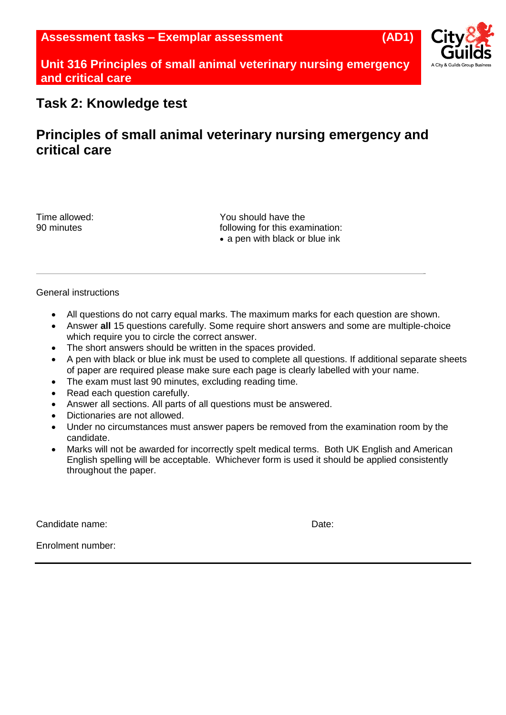

## **Task 2: Knowledge test**

# **Principles of small animal veterinary nursing emergency and critical care**

Time allowed: You should have the 90 minutes **Following** for this examination: • a pen with black or blue ink

### General instructions

- All questions do not carry equal marks. The maximum marks for each question are shown.
- Answer **all** 15 questions carefully. Some require short answers and some are multiple-choice which require you to circle the correct answer.
- The short answers should be written in the spaces provided.
- A pen with black or blue ink must be used to complete all questions. If additional separate sheets of paper are required please make sure each page is clearly labelled with your name.
- The exam must last 90 minutes, excluding reading time.
- Read each question carefully.
- Answer all sections. All parts of all questions must be answered.
- Dictionaries are not allowed.
- Under no circumstances must answer papers be removed from the examination room by the candidate.
- Marks will not be awarded for incorrectly spelt medical terms. Both UK English and American English spelling will be acceptable. Whichever form is used it should be applied consistently throughout the paper.

Candidate name: Date:

Enrolment number: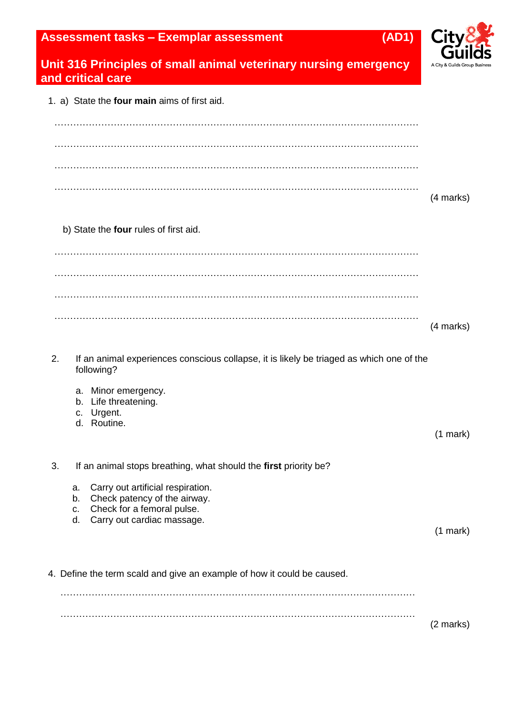## **Assessment tasks – Exemplar assessment (AD1)**



## **Unit 316 Principles of small animal veterinary nursing emergency and critical care**

1. a) State the **four main** aims of first aid.

|                                       | (4 marks) |
|---------------------------------------|-----------|
| b) State the four rules of first aid. |           |
|                                       |           |
|                                       |           |
|                                       |           |
|                                       | (4 marks) |

2. If an animal experiences conscious collapse, it is likely be triaged as which one of the following?

- a. Minor emergency.
- b. Life threatening.
- c. Urgent.
- d. Routine.
- 3. If an animal stops breathing, what should the **first** priority be?
	- a. Carry out artificial respiration.
	- b. Check patency of the airway.
	- c. Check for a femoral pulse.
	- d. Carry out cardiac massage.

(1 mark)

(1 mark)

4. Define the term scald and give an example of how it could be caused.

…………………………………………………………………………………………………… (2 marks)

……………………………………………………………………………………………………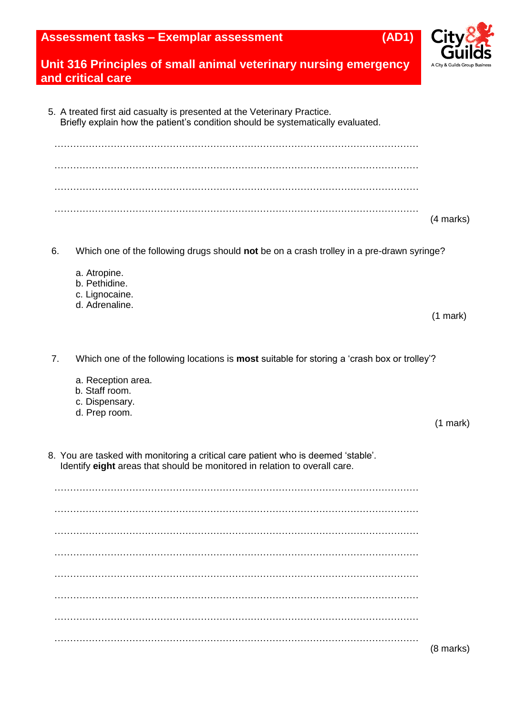## **Assessment tasks – Exemplar assessment (AD1)**



## **Unit 316 Principles of small animal veterinary nursing emergency and critical care**

|    | 5. A treated first aid casualty is presented at the Veterinary Practice.<br>Briefly explain how the patient's condition should be systematically evaluated. |                    |
|----|-------------------------------------------------------------------------------------------------------------------------------------------------------------|--------------------|
|    |                                                                                                                                                             |                    |
|    |                                                                                                                                                             |                    |
|    |                                                                                                                                                             |                    |
|    |                                                                                                                                                             | (4 marks)          |
| 6. | Which one of the following drugs should <b>not</b> be on a crash trolley in a pre-drawn syringe?                                                            |                    |
|    | a. Atropine.<br>b. Pethidine.                                                                                                                               |                    |
|    | c. Lignocaine.<br>d. Adrenaline.                                                                                                                            |                    |
|    |                                                                                                                                                             | $(1 \text{ mark})$ |
|    |                                                                                                                                                             |                    |

7. Which one of the following locations is **most** suitable for storing a 'crash box or trolley'?

- a. Reception area.
- b. Staff room.
- c. Dispensary.
- d. Prep room.

8. You are tasked with monitoring a critical care patient who is deemed 'stable'. Identify **eight** areas that should be monitored in relation to overall care.

……………………………………………………………………………………………………… ……………………………………………………………………………………………………… ……………………………………………………………………………………………………… ……………………………………………………………………………………………………… ……………………………………………………………………………………………………… ……………………………………………………………………………………………………… ……………………………………………………………………………………………………… ………………………………………………………………………………………………………

(8 marks)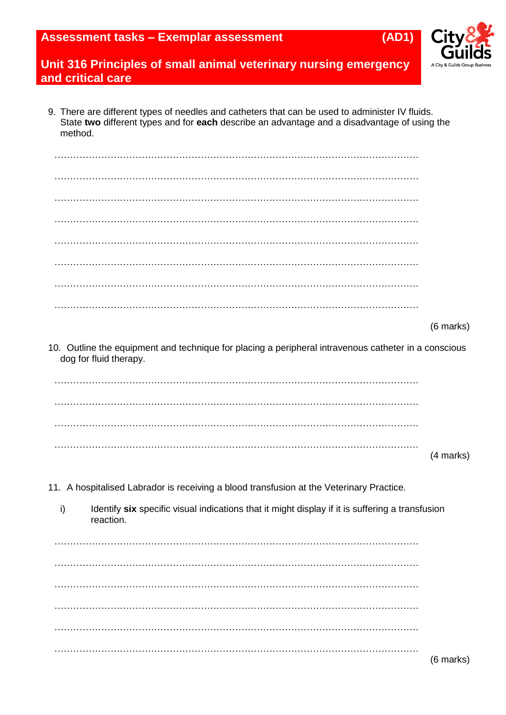| <b>Assessment tasks – Exemplar assessment</b> | (AD1) |
|-----------------------------------------------|-------|
|-----------------------------------------------|-------|



9. There are different types of needles and catheters that can be used to administer IV fluids. State **two** different types and for **each** describe an advantage and a disadvantage of using the method.

| i)<br>Identify six specific visual indications that it might display if it is suffering a transfusion<br>reaction.             |           |
|--------------------------------------------------------------------------------------------------------------------------------|-----------|
| 11. A hospitalised Labrador is receiving a blood transfusion at the Veterinary Practice.                                       |           |
|                                                                                                                                |           |
|                                                                                                                                | (4 marks) |
|                                                                                                                                |           |
|                                                                                                                                |           |
|                                                                                                                                |           |
| 10. Outline the equipment and technique for placing a peripheral intravenous catheter in a conscious<br>dog for fluid therapy. |           |
|                                                                                                                                | (6 marks) |
|                                                                                                                                |           |
|                                                                                                                                |           |
|                                                                                                                                |           |
|                                                                                                                                |           |
|                                                                                                                                |           |
|                                                                                                                                |           |
|                                                                                                                                |           |
|                                                                                                                                |           |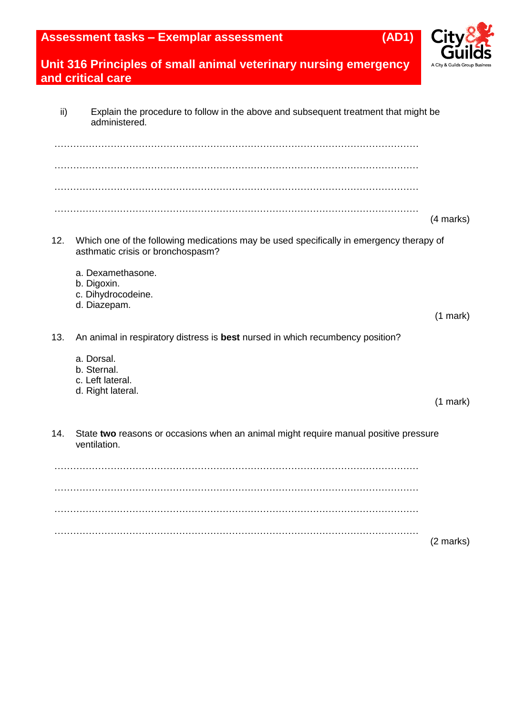

| ii) | Explain the procedure to follow in the above and subsequent treatment that might be<br>administered.                         |               |
|-----|------------------------------------------------------------------------------------------------------------------------------|---------------|
|     |                                                                                                                              |               |
|     |                                                                                                                              |               |
|     |                                                                                                                              | (4 marks)     |
| 12. | Which one of the following medications may be used specifically in emergency therapy of<br>asthmatic crisis or bronchospasm? |               |
|     | a. Dexamethasone.<br>b. Digoxin.<br>c. Dihydrocodeine.<br>d. Diazepam.                                                       |               |
|     |                                                                                                                              | $(1$ mark $)$ |
| 13. | An animal in respiratory distress is best nursed in which recumbency position?                                               |               |
|     | a. Dorsal.<br>b. Sternal.<br>c. Left lateral.                                                                                |               |
|     | d. Right lateral.                                                                                                            | $(1$ mark)    |
| 14. | State two reasons or occasions when an animal might require manual positive pressure<br>ventilation.                         |               |
|     |                                                                                                                              |               |
|     |                                                                                                                              |               |
|     |                                                                                                                              |               |
|     |                                                                                                                              | (2 marks)     |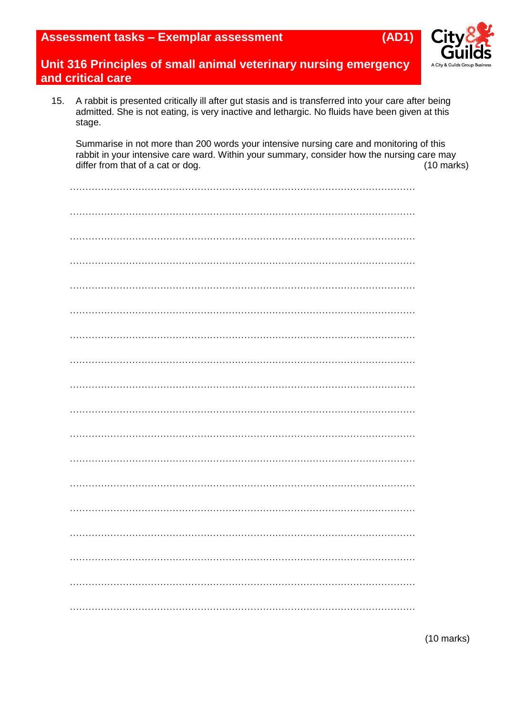

15. A rabbit is presented critically ill after gut stasis and is transferred into your care after being admitted. She is not eating, is very inactive and lethargic. No fluids have been given at this stage.

Summarise in not more than 200 words your intensive nursing care and monitoring of this rabbit in your intensive care ward. Within your summary, consider how the nursing care may<br>differ from that of a cat or dog. (10 marks) differ from that of a cat or dog.

(10 marks)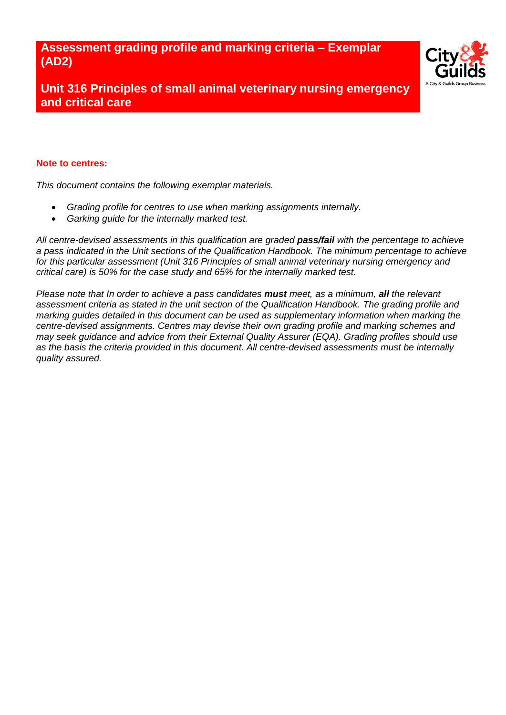**Assessment grading profile and marking criteria – Exemplar (AD2)**



**Unit 316 Principles of small animal veterinary nursing emergency and critical care**

#### **Note to centres:**

*This document contains the following exemplar materials.* 

- *Grading profile for centres to use when marking assignments internally.*
- *Garking guide for the internally marked test.*

*All centre-devised assessments in this qualification are graded pass/fail with the percentage to achieve a pass indicated in the Unit sections of the Qualification Handbook. The minimum percentage to achieve for this particular assessment (Unit 316 Principles of small animal veterinary nursing emergency and critical care) is 50% for the case study and 65% for the internally marked test.*

*Please note that In order to achieve a pass candidates must meet, as a minimum, all the relevant assessment criteria as stated in the unit section of the Qualification Handbook. The grading profile and marking guides detailed in this document can be used as supplementary information when marking the centre-devised assignments. Centres may devise their own grading profile and marking schemes and may seek guidance and advice from their External Quality Assurer (EQA). Grading profiles should use as the basis the criteria provided in this document. All centre-devised assessments must be internally quality assured.*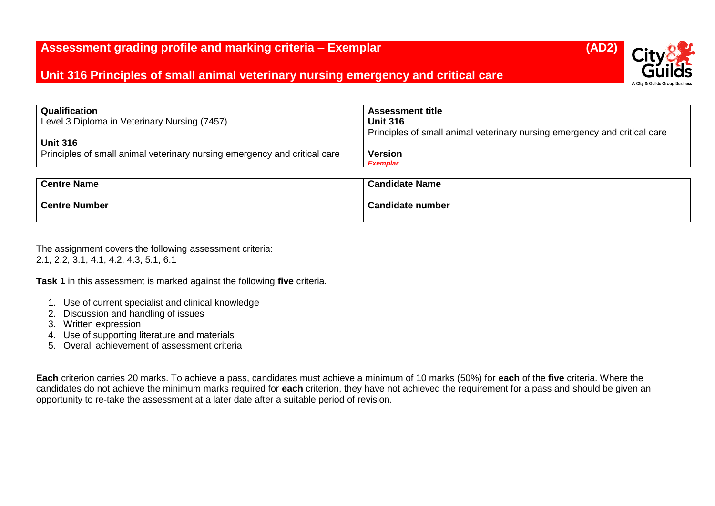| <b>Qualification</b>                                                      | <b>Assessment title</b>                                                   |
|---------------------------------------------------------------------------|---------------------------------------------------------------------------|
| Level 3 Diploma in Veterinary Nursing (7457)                              | <b>Unit 316</b>                                                           |
|                                                                           | Principles of small animal veterinary nursing emergency and critical care |
| <b>Unit 316</b>                                                           |                                                                           |
| Principles of small animal veterinary nursing emergency and critical care | <b>Version</b>                                                            |
|                                                                           | <b>Exemplar</b>                                                           |
|                                                                           |                                                                           |
| <b>Centre Name</b>                                                        | <b>Candidate Name</b>                                                     |
|                                                                           |                                                                           |
| <b>Centre Number</b>                                                      | <b>Candidate number</b>                                                   |

The assignment covers the following assessment criteria: 2.1, 2.2, 3.1, 4.1, 4.2, 4.3, 5.1, 6.1

**Task 1** in this assessment is marked against the following **five** criteria.

- 1. Use of current specialist and clinical knowledge
- 2. Discussion and handling of issues
- 3. Written expression
- 4. Use of supporting literature and materials
- 5. Overall achievement of assessment criteria

**Each** criterion carries 20 marks. To achieve a pass, candidates must achieve a minimum of 10 marks (50%) for **each** of the **five** criteria. Where the candidates do not achieve the minimum marks required for **each** criterion, they have not achieved the requirement for a pass and should be given an opportunity to re-take the assessment at a later date after a suitable period of revision.

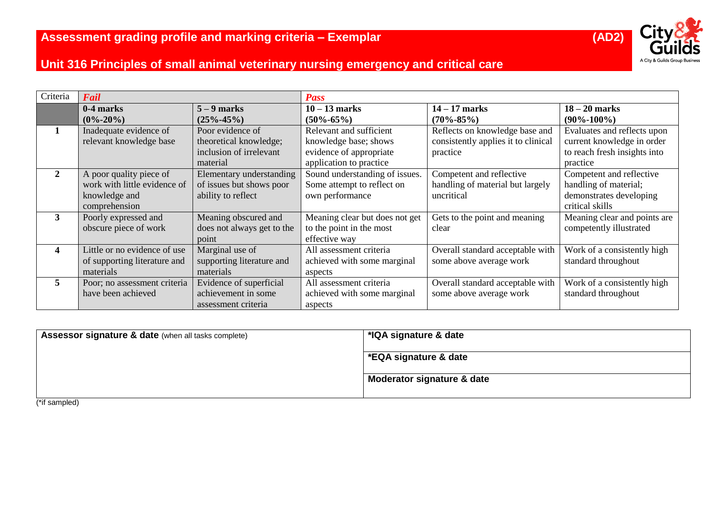

| Criteria     | Fail                                                                                      |                                                                                   | <b>Pass</b>                                                                                            |                                                                                   |                                                                                                       |
|--------------|-------------------------------------------------------------------------------------------|-----------------------------------------------------------------------------------|--------------------------------------------------------------------------------------------------------|-----------------------------------------------------------------------------------|-------------------------------------------------------------------------------------------------------|
|              | 0-4 marks<br>$(0\% - 20\%)$                                                               | $5 - 9$ marks<br>$(25\% - 45\%)$                                                  | $10 - 13$ marks<br>$(50\% - 65\%)$                                                                     | $14 - 17$ marks<br>$(70\% - 85\%)$                                                | $18 - 20$ marks<br>$(90\% - 100\%)$                                                                   |
|              | Inadequate evidence of<br>relevant knowledge base                                         | Poor evidence of<br>theoretical knowledge;<br>inclusion of irrelevant<br>material | Relevant and sufficient<br>knowledge base; shows<br>evidence of appropriate<br>application to practice | Reflects on knowledge base and<br>consistently applies it to clinical<br>practice | Evaluates and reflects upon<br>current knowledge in order<br>to reach fresh insights into<br>practice |
| $\mathbf{2}$ | A poor quality piece of<br>work with little evidence of<br>knowledge and<br>comprehension | Elementary understanding<br>of issues but shows poor<br>ability to reflect        | Sound understanding of issues.<br>Some attempt to reflect on<br>own performance                        | Competent and reflective<br>handling of material but largely<br>uncritical        | Competent and reflective<br>handling of material;<br>demonstrates developing<br>critical skills       |
| 3            | Poorly expressed and<br>obscure piece of work                                             | Meaning obscured and<br>does not always get to the<br>point                       | Meaning clear but does not get<br>to the point in the most<br>effective way                            | Gets to the point and meaning<br>clear                                            | Meaning clear and points are<br>competently illustrated                                               |
| 4            | Little or no evidence of use<br>of supporting literature and<br>materials                 | Marginal use of<br>supporting literature and<br>materials                         | All assessment criteria<br>achieved with some marginal<br>aspects                                      | Overall standard acceptable with<br>some above average work                       | Work of a consistently high<br>standard throughout                                                    |
| 5            | Poor; no assessment criteria<br>have been achieved                                        | Evidence of superficial<br>achievement in some<br>assessment criteria             | All assessment criteria<br>achieved with some marginal<br>aspects                                      | Overall standard acceptable with<br>some above average work                       | Work of a consistently high<br>standard throughout                                                    |

| <b>Assessor signature &amp; date (when all tasks complete)</b> | *IQA signature & date      |
|----------------------------------------------------------------|----------------------------|
|                                                                | *EQA signature & date      |
|                                                                | Moderator signature & date |

(\*if sampled)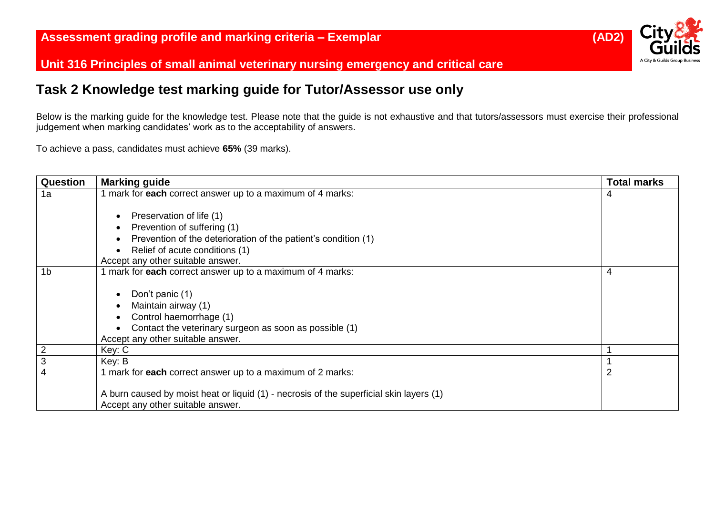

# **Task 2 Knowledge test marking guide for Tutor/Assessor use only**

Below is the marking guide for the knowledge test. Please note that the guide is not exhaustive and that tutors/assessors must exercise their professional judgement when marking candidates' work as to the acceptability of answers.

To achieve a pass, candidates must achieve **65%** (39 marks).

| Question       | <b>Marking guide</b>                                                                    | <b>Total marks</b> |
|----------------|-----------------------------------------------------------------------------------------|--------------------|
| 1a             | mark for each correct answer up to a maximum of 4 marks:                                | 4                  |
|                |                                                                                         |                    |
|                | Preservation of life (1)<br>$\bullet$                                                   |                    |
|                | Prevention of suffering (1)<br>$\bullet$                                                |                    |
|                | Prevention of the deterioration of the patient's condition (1)<br>$\bullet$             |                    |
|                | Relief of acute conditions (1)<br>$\bullet$                                             |                    |
|                | Accept any other suitable answer.                                                       |                    |
| 1 <sub>b</sub> | mark for each correct answer up to a maximum of 4 marks:                                | 4                  |
|                |                                                                                         |                    |
|                | Don't panic (1)<br>$\bullet$                                                            |                    |
|                | Maintain airway (1)<br>$\bullet$                                                        |                    |
|                | Control haemorrhage (1)<br>$\bullet$                                                    |                    |
|                | Contact the veterinary surgeon as soon as possible (1)<br>$\bullet$                     |                    |
|                | Accept any other suitable answer.                                                       |                    |
| $\overline{2}$ | Key: C                                                                                  |                    |
| 3              | Key: B                                                                                  |                    |
| 4              | 1 mark for each correct answer up to a maximum of 2 marks:                              |                    |
|                |                                                                                         |                    |
|                | A burn caused by moist heat or liquid (1) - necrosis of the superficial skin layers (1) |                    |
|                | Accept any other suitable answer.                                                       |                    |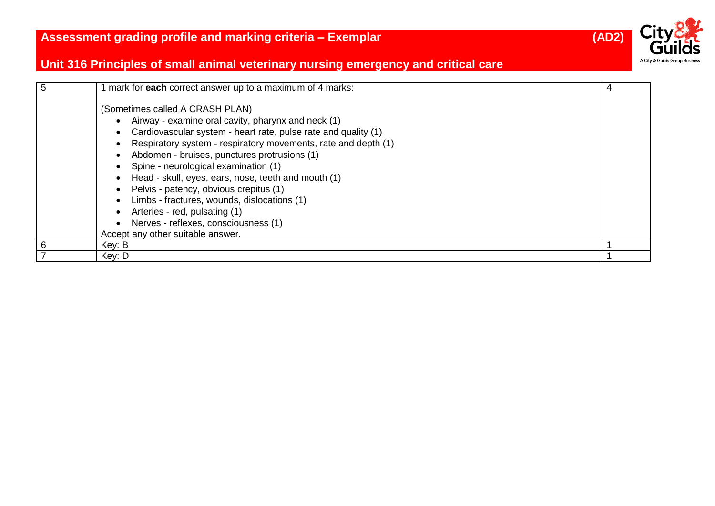

| 5              | mark for each correct answer up to a maximum of 4 marks:                                                                                                                                                                                                                                                                                                                                                                                                                                                                                   | 4 |
|----------------|--------------------------------------------------------------------------------------------------------------------------------------------------------------------------------------------------------------------------------------------------------------------------------------------------------------------------------------------------------------------------------------------------------------------------------------------------------------------------------------------------------------------------------------------|---|
|                | (Sometimes called A CRASH PLAN)<br>Airway - examine oral cavity, pharynx and neck (1)<br>Cardiovascular system - heart rate, pulse rate and quality (1)<br>Respiratory system - respiratory movements, rate and depth (1)<br>Abdomen - bruises, punctures protrusions (1)<br>Spine - neurological examination (1)<br>Head - skull, eyes, ears, nose, teeth and mouth (1)<br>Pelvis - patency, obvious crepitus (1)<br>Limbs - fractures, wounds, dislocations (1)<br>Arteries - red, pulsating (1)<br>Nerves - reflexes, consciousness (1) |   |
| 6              | Accept any other suitable answer.<br>Key: B                                                                                                                                                                                                                                                                                                                                                                                                                                                                                                |   |
| $\overline{7}$ | Key: D                                                                                                                                                                                                                                                                                                                                                                                                                                                                                                                                     |   |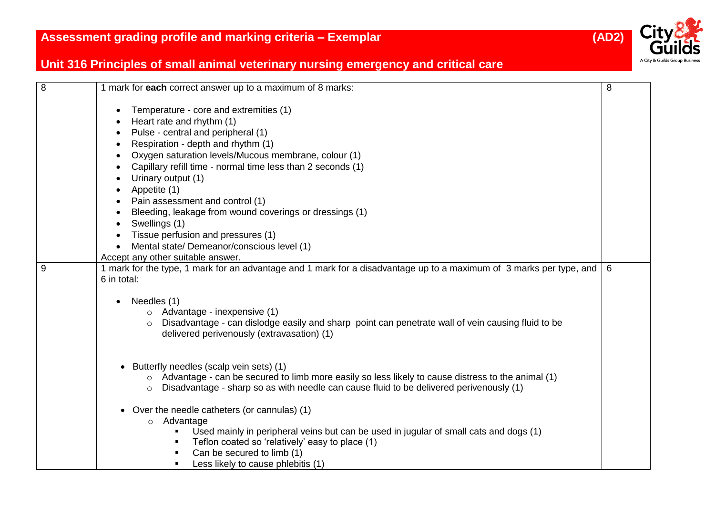

| 8 | 1 mark for each correct answer up to a maximum of 8 marks:                                                          | 8 |
|---|---------------------------------------------------------------------------------------------------------------------|---|
|   | Temperature - core and extremities (1)                                                                              |   |
|   | Heart rate and rhythm (1)                                                                                           |   |
|   | Pulse - central and peripheral (1)                                                                                  |   |
|   | Respiration - depth and rhythm (1)                                                                                  |   |
|   | Oxygen saturation levels/Mucous membrane, colour (1)                                                                |   |
|   | Capillary refill time - normal time less than 2 seconds (1)                                                         |   |
|   | Urinary output (1)                                                                                                  |   |
|   | Appetite (1)                                                                                                        |   |
|   | Pain assessment and control (1)                                                                                     |   |
|   | Bleeding, leakage from wound coverings or dressings (1)                                                             |   |
|   | Swellings (1)                                                                                                       |   |
|   | Tissue perfusion and pressures (1)                                                                                  |   |
|   | Mental state/ Demeanor/conscious level (1)                                                                          |   |
|   | Accept any other suitable answer.                                                                                   |   |
| 9 | 1 mark for the type, 1 mark for an advantage and 1 mark for a disadvantage up to a maximum of 3 marks per type, and | 6 |
|   | 6 in total:                                                                                                         |   |
|   | Needles (1)<br>$\bullet$                                                                                            |   |
|   | $\circ$ Advantage - inexpensive (1)                                                                                 |   |
|   | Disadvantage - can dislodge easily and sharp point can penetrate wall of vein causing fluid to be                   |   |
|   | delivered perivenously (extravasation) (1)                                                                          |   |
|   |                                                                                                                     |   |
|   |                                                                                                                     |   |
|   | Butterfly needles (scalp vein sets) (1)<br>$\bullet$                                                                |   |
|   | o Advantage - can be secured to limb more easily so less likely to cause distress to the animal (1)                 |   |
|   | Disadvantage - sharp so as with needle can cause fluid to be delivered perivenously (1)<br>$\circ$                  |   |
|   | Over the needle catheters (or cannulas) (1)                                                                         |   |
|   | o Advantage                                                                                                         |   |
|   | Used mainly in peripheral veins but can be used in jugular of small cats and dogs (1)                               |   |
|   | Teflon coated so 'relatively' easy to place (1)                                                                     |   |
|   | Can be secured to limb (1)                                                                                          |   |
|   | Less likely to cause phlebitis (1)                                                                                  |   |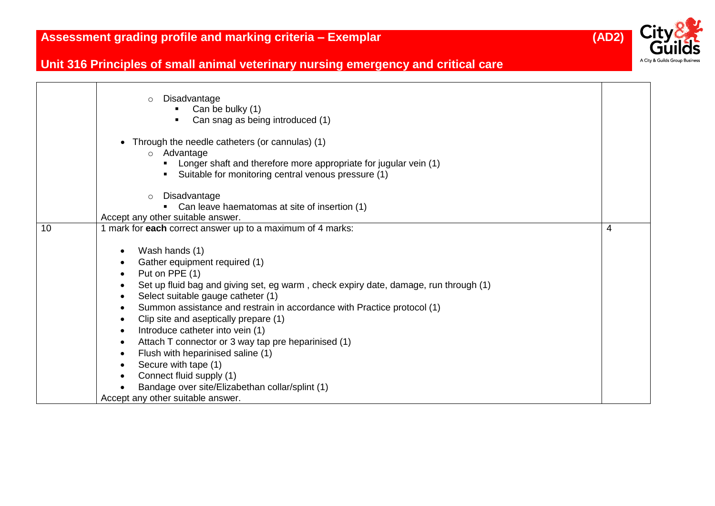

|    | Disadvantage<br>$\circ$<br>Can be bulky (1)<br>Can snag as being introduced (1)<br>Through the needle catheters (or cannulas) (1)<br>o Advantage<br>Longer shaft and therefore more appropriate for jugular vein (1)<br>• Suitable for monitoring central venous pressure (1) |   |
|----|-------------------------------------------------------------------------------------------------------------------------------------------------------------------------------------------------------------------------------------------------------------------------------|---|
|    |                                                                                                                                                                                                                                                                               |   |
|    | Disadvantage<br>$\circ$<br>Can leave haematomas at site of insertion (1)                                                                                                                                                                                                      |   |
|    | Accept any other suitable answer.                                                                                                                                                                                                                                             |   |
| 10 | 1 mark for each correct answer up to a maximum of 4 marks:                                                                                                                                                                                                                    | 4 |
|    |                                                                                                                                                                                                                                                                               |   |
|    | Wash hands (1)                                                                                                                                                                                                                                                                |   |
|    | Gather equipment required (1)                                                                                                                                                                                                                                                 |   |
|    | Put on PPE (1)                                                                                                                                                                                                                                                                |   |
|    | Set up fluid bag and giving set, eg warm, check expiry date, damage, run through (1)                                                                                                                                                                                          |   |
|    | Select suitable gauge catheter (1)                                                                                                                                                                                                                                            |   |
|    | Summon assistance and restrain in accordance with Practice protocol (1)                                                                                                                                                                                                       |   |
|    | Clip site and aseptically prepare (1)                                                                                                                                                                                                                                         |   |
|    | Introduce catheter into vein (1)                                                                                                                                                                                                                                              |   |
|    | Attach T connector or 3 way tap pre heparinised (1)                                                                                                                                                                                                                           |   |
|    | Flush with heparinised saline (1)                                                                                                                                                                                                                                             |   |
|    | Secure with tape (1)                                                                                                                                                                                                                                                          |   |
|    | Connect fluid supply (1)                                                                                                                                                                                                                                                      |   |
|    | Bandage over site/Elizabethan collar/splint (1)                                                                                                                                                                                                                               |   |
|    | Accept any other suitable answer.                                                                                                                                                                                                                                             |   |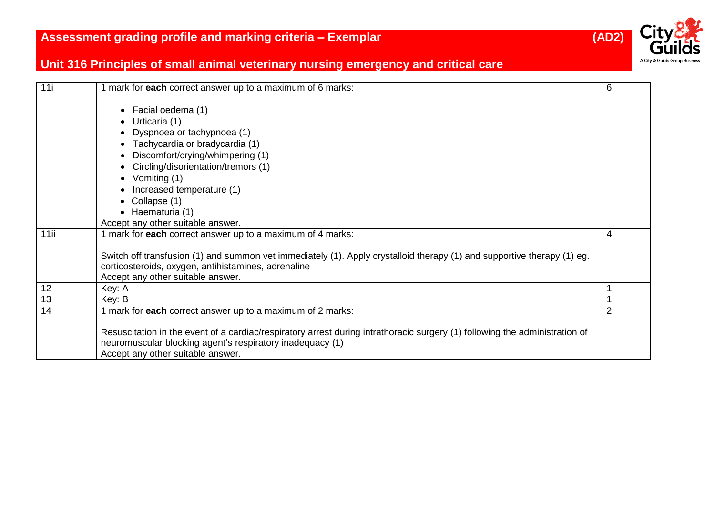

| 11i  | 1 mark for each correct answer up to a maximum of 6 marks:                                                                  | 6              |
|------|-----------------------------------------------------------------------------------------------------------------------------|----------------|
|      | Facial oedema (1)<br>$\bullet$                                                                                              |                |
|      | Urticaria (1)<br>$\bullet$                                                                                                  |                |
|      | Dyspnoea or tachypnoea (1)                                                                                                  |                |
|      | Tachycardia or bradycardia (1)                                                                                              |                |
|      | Discomfort/crying/whimpering (1)                                                                                            |                |
|      | Circling/disorientation/tremors (1)                                                                                         |                |
|      | Vomiting (1)<br>$\bullet$                                                                                                   |                |
|      | Increased temperature (1)                                                                                                   |                |
|      | Collapse (1)                                                                                                                |                |
|      | $\bullet$ Haematuria (1)                                                                                                    |                |
|      | Accept any other suitable answer.                                                                                           |                |
| 11ii | 1 mark for each correct answer up to a maximum of 4 marks:                                                                  | 4              |
|      |                                                                                                                             |                |
|      | Switch off transfusion (1) and summon vet immediately (1). Apply crystalloid therapy (1) and supportive therapy (1) eg.     |                |
|      | corticosteroids, oxygen, antihistamines, adrenaline<br>Accept any other suitable answer.                                    |                |
| 12   | Key: A                                                                                                                      |                |
| 13   | Key: B                                                                                                                      |                |
| 14   | 1 mark for each correct answer up to a maximum of 2 marks:                                                                  | $\overline{2}$ |
|      |                                                                                                                             |                |
|      | Resuscitation in the event of a cardiac/respiratory arrest during intrathoracic surgery (1) following the administration of |                |
|      | neuromuscular blocking agent's respiratory inadequacy (1)                                                                   |                |
|      | Accept any other suitable answer.                                                                                           |                |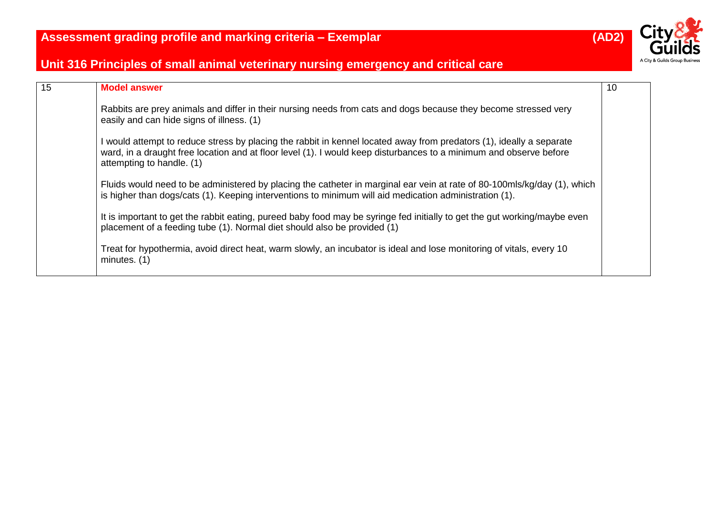

| 15 | <b>Model answer</b>                                                                                                                                                                                                                                                     | 10 |
|----|-------------------------------------------------------------------------------------------------------------------------------------------------------------------------------------------------------------------------------------------------------------------------|----|
|    | Rabbits are prey animals and differ in their nursing needs from cats and dogs because they become stressed very<br>easily and can hide signs of illness. (1)                                                                                                            |    |
|    | I would attempt to reduce stress by placing the rabbit in kennel located away from predators (1), ideally a separate<br>ward, in a draught free location and at floor level (1). I would keep disturbances to a minimum and observe before<br>attempting to handle. (1) |    |
|    | Fluids would need to be administered by placing the catheter in marginal ear vein at rate of 80-100mls/kg/day (1), which<br>is higher than dogs/cats (1). Keeping interventions to minimum will aid medication administration (1).                                      |    |
|    | It is important to get the rabbit eating, pureed baby food may be syringe fed initially to get the gut working/maybe even<br>placement of a feeding tube (1). Normal diet should also be provided (1)                                                                   |    |
|    | Treat for hypothermia, avoid direct heat, warm slowly, an incubator is ideal and lose monitoring of vitals, every 10<br>minutes. (1)                                                                                                                                    |    |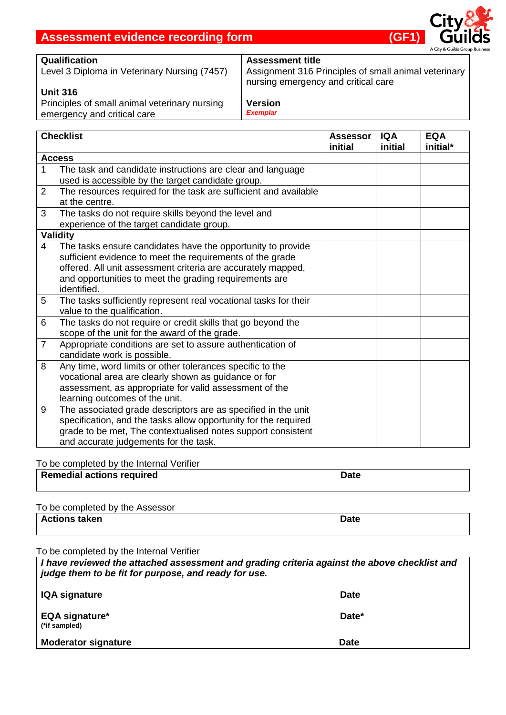

### **Qualification**

Level 3 Diploma in Veterinary Nursing (7457)

### **Unit 316**

Principles of small animal veterinary nursing emergency and critical care

## **Assessment title**

Assignment 316 Principles of small animal veterinary nursing emergency and critical care

#### **Version** *Exemplar*

|                 | <b>Checklist</b>                                                 | <b>Assessor</b><br>initial | <b>IQA</b><br>initial | <b>EQA</b><br>initial* |
|-----------------|------------------------------------------------------------------|----------------------------|-----------------------|------------------------|
|                 | <b>Access</b>                                                    |                            |                       |                        |
| $\mathbf 1$     | The task and candidate instructions are clear and language       |                            |                       |                        |
|                 | used is accessible by the target candidate group.                |                            |                       |                        |
| 2               | The resources required for the task are sufficient and available |                            |                       |                        |
|                 | at the centre.                                                   |                            |                       |                        |
| 3               | The tasks do not require skills beyond the level and             |                            |                       |                        |
|                 | experience of the target candidate group.                        |                            |                       |                        |
|                 | <b>Validity</b>                                                  |                            |                       |                        |
| 4               | The tasks ensure candidates have the opportunity to provide      |                            |                       |                        |
|                 | sufficient evidence to meet the requirements of the grade        |                            |                       |                        |
|                 | offered. All unit assessment criteria are accurately mapped,     |                            |                       |                        |
|                 | and opportunities to meet the grading requirements are           |                            |                       |                        |
|                 | identified.                                                      |                            |                       |                        |
| $5\phantom{.0}$ | The tasks sufficiently represent real vocational tasks for their |                            |                       |                        |
|                 | value to the qualification.                                      |                            |                       |                        |
| 6               | The tasks do not require or credit skills that go beyond the     |                            |                       |                        |
|                 | scope of the unit for the award of the grade.                    |                            |                       |                        |
| $\overline{7}$  | Appropriate conditions are set to assure authentication of       |                            |                       |                        |
|                 | candidate work is possible.                                      |                            |                       |                        |
| 8               | Any time, word limits or other tolerances specific to the        |                            |                       |                        |
|                 | vocational area are clearly shown as guidance or for             |                            |                       |                        |
|                 | assessment, as appropriate for valid assessment of the           |                            |                       |                        |
|                 | learning outcomes of the unit.                                   |                            |                       |                        |
| 9               | The associated grade descriptors are as specified in the unit    |                            |                       |                        |
|                 | specification, and the tasks allow opportunity for the required  |                            |                       |                        |
|                 | grade to be met, The contextualised notes support consistent     |                            |                       |                        |
|                 | and accurate judgements for the task.                            |                            |                       |                        |

To be completed by the Internal Verifier

| <b>Remedial actions required</b> | Date |  |
|----------------------------------|------|--|
|                                  |      |  |

| To be completed by the Assessor |             |
|---------------------------------|-------------|
| Actions taken                   | <b>Date</b> |

To be completed by the Internal Verifier

*I have reviewed the attached assessment and grading criteria against the above checklist and judge them to be fit for purpose, and ready for use.*

| <b>IQA signature</b>                   | <b>Date</b> |
|----------------------------------------|-------------|
| <b>EQA signature*</b><br>(*if sampled) | Date*       |
| <b>Moderator signature</b>             | <b>Date</b> |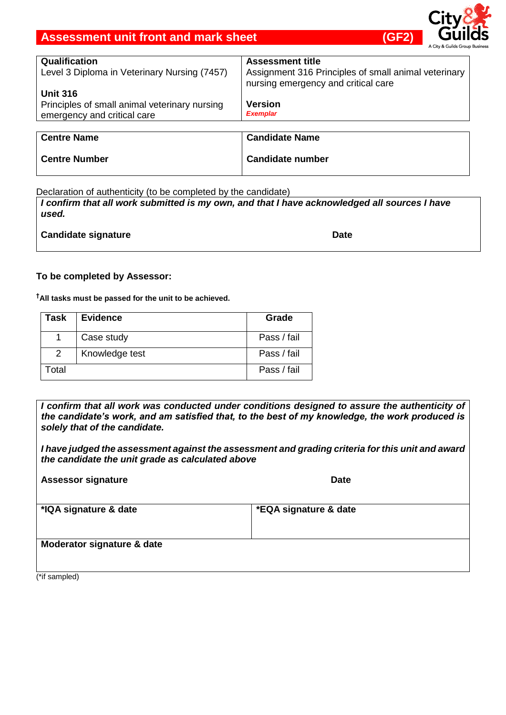## **Assessment unit front and mark sheet (GF2)** (GF2)



| Qualification                                 | <b>Assessment title</b>                                                                     |
|-----------------------------------------------|---------------------------------------------------------------------------------------------|
| Level 3 Diploma in Veterinary Nursing (7457)  | Assignment 316 Principles of small animal veterinary<br>nursing emergency and critical care |
| <b>Unit 316</b>                               |                                                                                             |
| Principles of small animal veterinary nursing | <b>Version</b>                                                                              |
| emergency and critical care                   | <b>Exemplar</b>                                                                             |
|                                               |                                                                                             |
| <b>Centre Name</b>                            | <b>Candidate Name</b>                                                                       |

**Candidate number**

Declaration of authenticity (to be completed by the candidate)

*I confirm that all work submitted is my own, and that I have acknowledged all sources I have used.* 

**Candidate signature Date Date Date Date** 

**Centre Number**

#### **To be completed by Assessor:**

**†All tasks must be passed for the unit to be achieved.**

| Task              | <b>Evidence</b> | Grade       |
|-------------------|-----------------|-------------|
|                   | Case study      | Pass / fail |
| 2                 | Knowledge test  | Pass / fail |
| otal <sup>.</sup> |                 | Pass / fail |

*I confirm that all work was conducted under conditions designed to assure the authenticity of the candidate's work, and am satisfied that, to the best of my knowledge, the work produced is solely that of the candidate.*

*I have judged the assessment against the assessment and grading criteria for this unit and award the candidate the unit grade as calculated above*

| <b>Assessor signature</b>  | <b>Date</b>           |
|----------------------------|-----------------------|
| *IQA signature & date      | *EQA signature & date |
| Moderator signature & date |                       |
| (*if sampled)              |                       |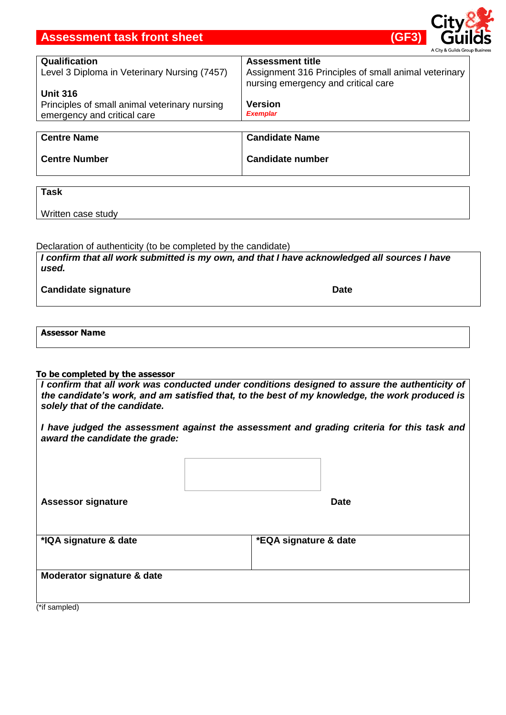## **Assessment task front sheet (GF3)**

| Qualification<br>Level 3 Diploma in Veterinary Nursing (7457)                                   | <b>Assessment title</b><br>Assignment 316 Principles of small animal veterinary<br>nursing emergency and critical care |
|-------------------------------------------------------------------------------------------------|------------------------------------------------------------------------------------------------------------------------|
| <b>Unit 316</b><br>Principles of small animal veterinary nursing<br>emergency and critical care | <b>Version</b><br><b>Exemplar</b>                                                                                      |

| <b>Centre Name</b>   | <b>Candidate Name</b>   |
|----------------------|-------------------------|
| <b>Centre Number</b> | <b>Candidate number</b> |

**Task**

Written case study

#### Declaration of authenticity (to be completed by the candidate)

*I confirm that all work submitted is my own, and that I have acknowledged all sources I have used.* 

**Candidate signature Date Date Date Date** 

#### **Assessor Name**

#### **To be completed by the assessor**

*I confirm that all work was conducted under conditions designed to assure the authenticity of the candidate's work, and am satisfied that, to the best of my knowledge, the work produced is solely that of the candidate.*

*I have judged the assessment against the assessment and grading criteria for this task and award the candidate the grade:*

| <b>Assessor signature</b>  | <b>Date</b>           |  |
|----------------------------|-----------------------|--|
|                            |                       |  |
| *IQA signature & date      | *EQA signature & date |  |
|                            |                       |  |
| Moderator signature & date |                       |  |
|                            |                       |  |
| (*if sampled)              |                       |  |

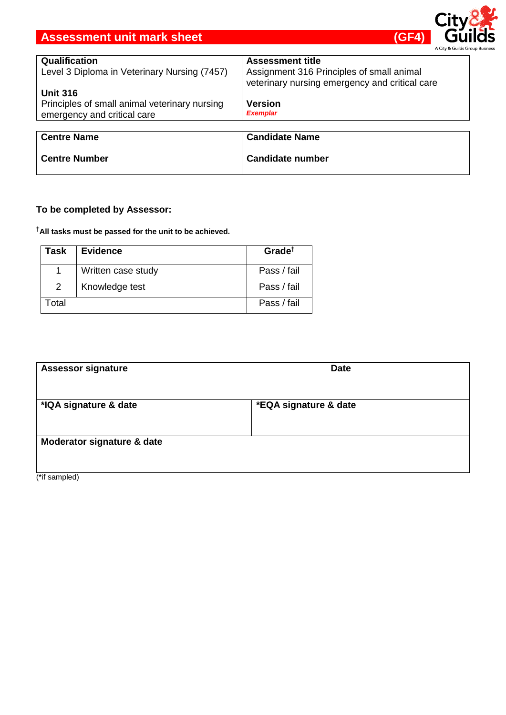## **Assessment unit mark sheet (GF4) Assessment unit mark sheet**



| Qualification                                 | <b>Assessment title</b>                                                                     |
|-----------------------------------------------|---------------------------------------------------------------------------------------------|
| Level 3 Diploma in Veterinary Nursing (7457)  | Assignment 316 Principles of small animal<br>veterinary nursing emergency and critical care |
| <b>Unit 316</b>                               |                                                                                             |
| Principles of small animal veterinary nursing | <b>Version</b>                                                                              |
| emergency and critical care                   | <b>Exemplar</b>                                                                             |
|                                               |                                                                                             |
| <b>Centre Name</b>                            | <b>Candidate Name</b>                                                                       |
|                                               |                                                                                             |
| <b>Centre Number</b>                          | <b>Candidate number</b>                                                                     |

## **To be completed by Assessor:**

**†All tasks must be passed for the unit to be achieved.**

| Task  | <b>Evidence</b>    | Grade <sup>†</sup> |
|-------|--------------------|--------------------|
|       | Written case study | Pass / fail        |
| 2     | Knowledge test     | Pass / fail        |
| Гоtal |                    | Pass / fail        |

| <b>Assessor signature</b>  | <b>Date</b>           |  |
|----------------------------|-----------------------|--|
| *IQA signature & date      | *EQA signature & date |  |
| Moderator signature & date |                       |  |

(\*if sampled)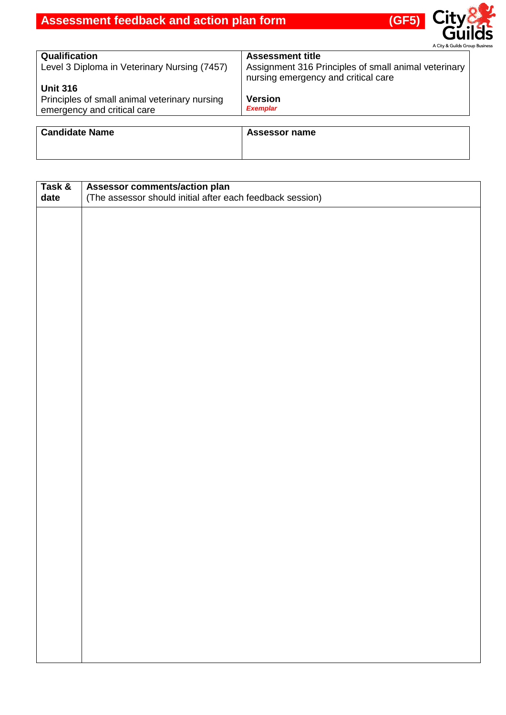

| Qualification                                 | <b>Assessment title</b>                              |
|-----------------------------------------------|------------------------------------------------------|
| Level 3 Diploma in Veterinary Nursing (7457)  | Assignment 316 Principles of small animal veterinary |
| <b>Unit 316</b>                               | nursing emergency and critical care                  |
| Principles of small animal veterinary nursing | <b>Version</b>                                       |
| emergency and critical care                   | <b>Exemplar</b>                                      |
| <b>Candidate Name</b>                         | Assessor name                                        |

| Task &<br>date | Assessor comments/action plan<br>(The assessor should initial after each feedback session) |
|----------------|--------------------------------------------------------------------------------------------|
|                |                                                                                            |
|                |                                                                                            |
|                |                                                                                            |
|                |                                                                                            |
|                |                                                                                            |
|                |                                                                                            |
|                |                                                                                            |
|                |                                                                                            |
|                |                                                                                            |
|                |                                                                                            |
|                |                                                                                            |
|                |                                                                                            |
|                |                                                                                            |
|                |                                                                                            |
|                |                                                                                            |
|                |                                                                                            |
|                |                                                                                            |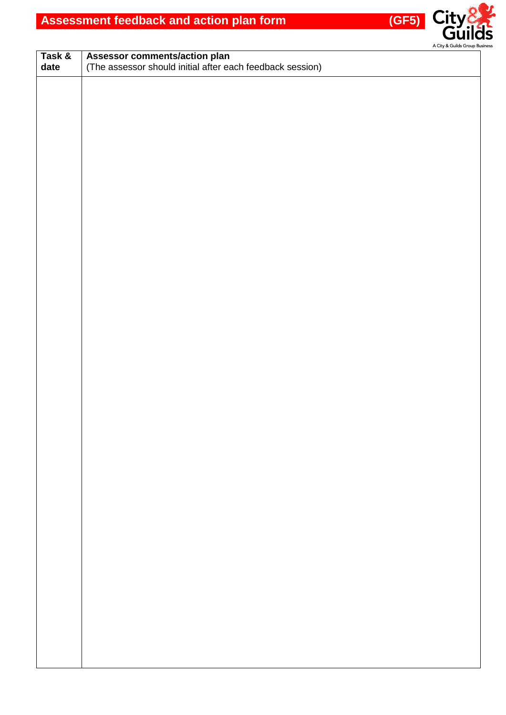

| Task & |                                                                                            |  |
|--------|--------------------------------------------------------------------------------------------|--|
| date   | Assessor comments/action plan<br>(The assessor should initial after each feedback session) |  |
|        |                                                                                            |  |
|        |                                                                                            |  |
|        |                                                                                            |  |
|        |                                                                                            |  |
|        |                                                                                            |  |
|        |                                                                                            |  |
|        |                                                                                            |  |
|        |                                                                                            |  |
|        |                                                                                            |  |
|        |                                                                                            |  |
|        |                                                                                            |  |
|        |                                                                                            |  |
|        |                                                                                            |  |
|        |                                                                                            |  |
|        |                                                                                            |  |
|        |                                                                                            |  |
|        |                                                                                            |  |
|        |                                                                                            |  |
|        |                                                                                            |  |
|        |                                                                                            |  |
|        |                                                                                            |  |
|        |                                                                                            |  |
|        |                                                                                            |  |
|        |                                                                                            |  |
|        |                                                                                            |  |
|        |                                                                                            |  |
|        |                                                                                            |  |
|        |                                                                                            |  |
|        |                                                                                            |  |
|        |                                                                                            |  |
|        |                                                                                            |  |
|        |                                                                                            |  |
|        |                                                                                            |  |
|        |                                                                                            |  |
|        |                                                                                            |  |
|        |                                                                                            |  |
|        |                                                                                            |  |
|        |                                                                                            |  |
|        |                                                                                            |  |
|        |                                                                                            |  |
|        |                                                                                            |  |
|        |                                                                                            |  |
|        |                                                                                            |  |
|        |                                                                                            |  |
|        |                                                                                            |  |
|        |                                                                                            |  |
|        |                                                                                            |  |
|        |                                                                                            |  |
|        |                                                                                            |  |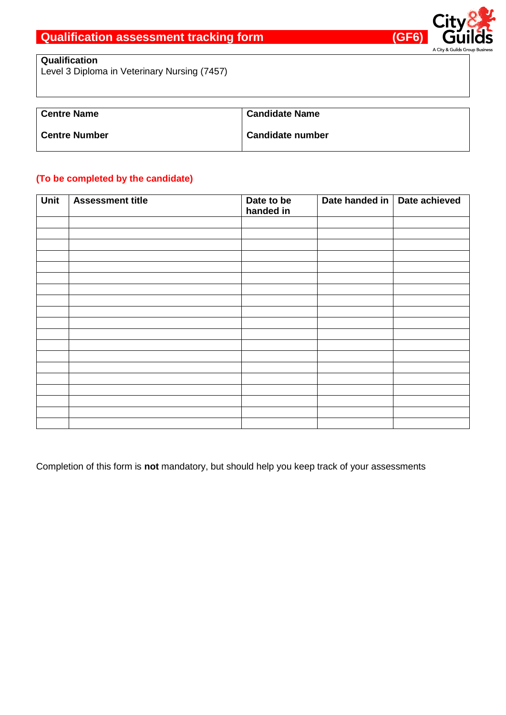

## **Qualification**

Level 3 Diploma in Veterinary Nursing (7457)

| l Centre Name        | <b>Candidate Name</b>   |
|----------------------|-------------------------|
| <b>Centre Number</b> | <b>Candidate number</b> |

# **(To be completed by the candidate)**

| Unit | <b>Assessment title</b> | Date to be<br>handed in | Date handed in   Date achieved |  |  |  |  |
|------|-------------------------|-------------------------|--------------------------------|--|--|--|--|
|      |                         |                         |                                |  |  |  |  |
|      |                         |                         |                                |  |  |  |  |
|      |                         |                         |                                |  |  |  |  |
|      |                         |                         |                                |  |  |  |  |
|      |                         |                         |                                |  |  |  |  |
|      |                         |                         |                                |  |  |  |  |
|      |                         |                         |                                |  |  |  |  |
|      |                         |                         |                                |  |  |  |  |
|      |                         |                         |                                |  |  |  |  |
|      |                         |                         |                                |  |  |  |  |
|      |                         |                         |                                |  |  |  |  |
|      |                         |                         |                                |  |  |  |  |
|      |                         |                         |                                |  |  |  |  |
|      |                         |                         |                                |  |  |  |  |
|      |                         |                         |                                |  |  |  |  |
|      |                         |                         |                                |  |  |  |  |
|      |                         |                         |                                |  |  |  |  |
|      |                         |                         |                                |  |  |  |  |

Completion of this form is **not** mandatory, but should help you keep track of your assessments